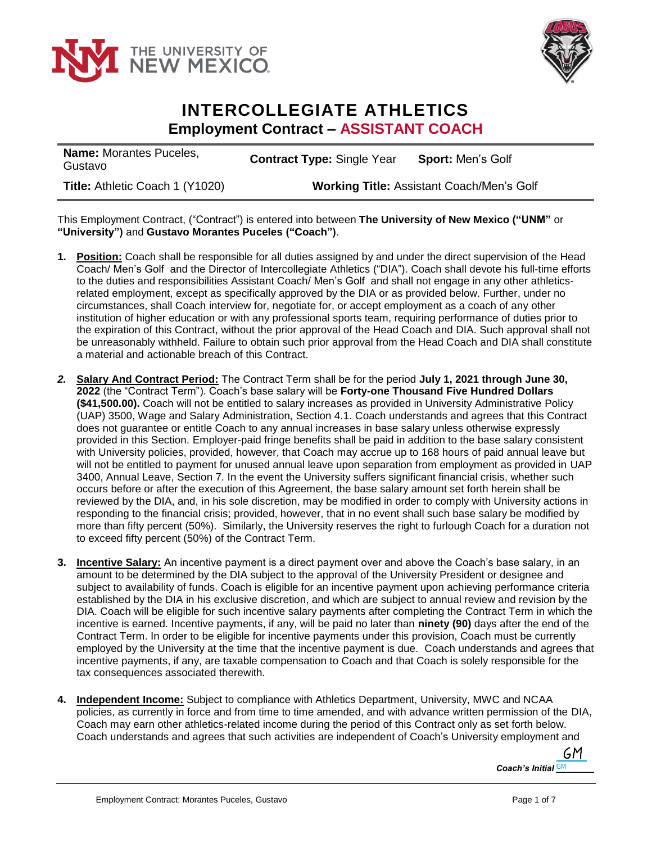



## **INTERCOLLEGIATE ATHLETICS Employment Contract – ASSISTANT COACH**

| <b>Name:</b> Morantes Puceles,<br>Gustavo | <b>Sport: Men's Golf</b><br><b>Contract Type: Single Year</b> |  |
|-------------------------------------------|---------------------------------------------------------------|--|
| Title: Athletic Coach 1 (Y1020)           | <b>Working Title: Assistant Coach/Men's Golf</b>              |  |

This Employment Contract, ("Contract") is entered into between **The University of New Mexico ("UNM"** or **"University")** and **Gustavo Morantes Puceles ("Coach")**.

- **1. Position:** Coach shall be responsible for all duties assigned by and under the direct supervision of the Head Coach/ Men's Golf and the Director of Intercollegiate Athletics ("DIA"). Coach shall devote his full-time efforts to the duties and responsibilities Assistant Coach/Men's Golf and shall not engage in any other athleticsrelated employment, except as specifically approved by the DIA or as provided below. Further, under no circumstances, shall Coach interview for, negotiate for, or accept employment as a coach of any other institution of higher education or with any professional sports team, requiring performance of duties prior to the expiration of this Contract, without the prior approval of the Head Coach and DIA. Such approval shall not be unreasonably withheld. Failure to obtain such prior approval from the Head Coach and DIA shall constitute a material and actionable breach of this Contract.
- *2.* **Salary And Contract Period:** The Contract Term shall be for the period **July 1, 2021 through June 30, 2022** (the "Contract Term"). Coach's base salary will be **Forty-one Thousand Five Hundred Dollars (\$41,500.00).** Coach will not be entitled to salary increases as provided in University Administrative Policy (UAP) 3500, Wage and Salary Administration, Section 4.1. Coach understands and agrees that this Contract does not guarantee or entitle Coach to any annual increases in base salary unless otherwise expressly provided in this Section. Employer-paid fringe benefits shall be paid in addition to the base salary consistent with University policies, provided, however, that Coach may accrue up to 168 hours of paid annual leave but will not be entitled to payment for unused annual leave upon separation from employment as provided in UAP 3400, Annual Leave, Section 7. In the event the University suffers significant financial crisis, whether such occurs before or after the execution of this Agreement, the base salary amount set forth herein shall be reviewed by the DIA, and, in his sole discretion, may be modified in order to comply with University actions in responding to the financial crisis; provided, however, that in no event shall such base salary be modified by more than fifty percent (50%). Similarly, the University reserves the right to furlough Coach for a duration not to exceed fifty percent (50%) of the Contract Term.
- **3. Incentive Salary:** An incentive payment is a direct payment over and above the Coach's base salary, in an amount to be determined by the DIA subject to the approval of the University President or designee and subject to availability of funds. Coach is eligible for an incentive payment upon achieving performance criteria established by the DIA in his exclusive discretion, and which are subject to annual review and revision by the DIA. Coach will be eligible for such incentive salary payments after completing the Contract Term in which the incentive is earned. Incentive payments, if any, will be paid no later than **ninety (90)** days after the end of the Contract Term. In order to be eligible for incentive payments under this provision, Coach must be currently employed by the University at the time that the incentive payment is due. Coach understands and agrees that incentive payments, if any, are taxable compensation to Coach and that Coach is solely responsible for the tax consequences associated therewith.
- **4. Independent Income:** Subject to compliance with Athletics Department, University, MWC and NCAA policies, as currently in force and from time to time amended, and with advance written permission of the DIA, Coach may earn other athletics-related income during the period of this Contract only as set forth below. Coach understands and agrees that such activities are independent of Coach's University employment and

GM. *Coach's Initial*  $\frac{GM}{c}$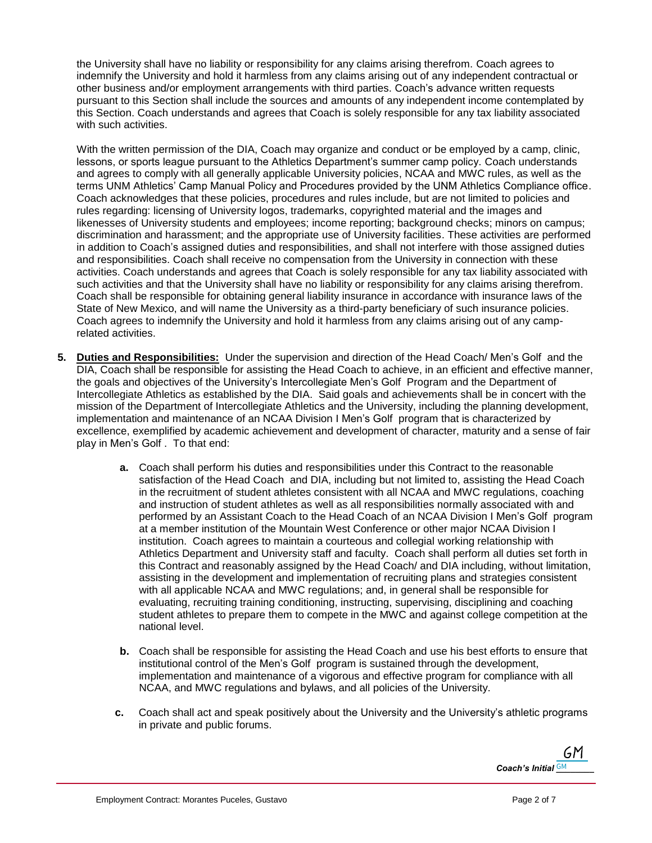the University shall have no liability or responsibility for any claims arising therefrom. Coach agrees to indemnify the University and hold it harmless from any claims arising out of any independent contractual or other business and/or employment arrangements with third parties. Coach's advance written requests pursuant to this Section shall include the sources and amounts of any independent income contemplated by this Section. Coach understands and agrees that Coach is solely responsible for any tax liability associated with such activities.

With the written permission of the DIA, Coach may organize and conduct or be employed by a camp, clinic, lessons, or sports league pursuant to the Athletics Department's summer camp policy. Coach understands and agrees to comply with all generally applicable University policies, NCAA and MWC rules, as well as the terms UNM Athletics' Camp Manual Policy and Procedures provided by the UNM Athletics Compliance office. Coach acknowledges that these policies, procedures and rules include, but are not limited to policies and rules regarding: licensing of University logos, trademarks, copyrighted material and the images and likenesses of University students and employees; income reporting; background checks; minors on campus; discrimination and harassment; and the appropriate use of University facilities. These activities are performed in addition to Coach's assigned duties and responsibilities, and shall not interfere with those assigned duties and responsibilities. Coach shall receive no compensation from the University in connection with these activities. Coach understands and agrees that Coach is solely responsible for any tax liability associated with such activities and that the University shall have no liability or responsibility for any claims arising therefrom. Coach shall be responsible for obtaining general liability insurance in accordance with insurance laws of the State of New Mexico, and will name the University as a third-party beneficiary of such insurance policies. Coach agrees to indemnify the University and hold it harmless from any claims arising out of any camprelated activities.

- **5. Duties and Responsibilities:** Under the supervision and direction of the Head Coach/ Men's Golf and the DIA, Coach shall be responsible for assisting the Head Coach to achieve, in an efficient and effective manner, the goals and objectives of the University's Intercollegiate Men's Golf Program and the Department of Intercollegiate Athletics as established by the DIA. Said goals and achievements shall be in concert with the mission of the Department of Intercollegiate Athletics and the University, including the planning development, implementation and maintenance of an NCAA Division I Men's Golf program that is characterized by excellence, exemplified by academic achievement and development of character, maturity and a sense of fair play in Men's Golf . To that end:
	- **a.** Coach shall perform his duties and responsibilities under this Contract to the reasonable satisfaction of the Head Coach and DIA, including but not limited to, assisting the Head Coach in the recruitment of student athletes consistent with all NCAA and MWC regulations, coaching and instruction of student athletes as well as all responsibilities normally associated with and performed by an Assistant Coach to the Head Coach of an NCAA Division I Men's Golf program at a member institution of the Mountain West Conference or other major NCAA Division I institution. Coach agrees to maintain a courteous and collegial working relationship with Athletics Department and University staff and faculty. Coach shall perform all duties set forth in this Contract and reasonably assigned by the Head Coach/ and DIA including, without limitation, assisting in the development and implementation of recruiting plans and strategies consistent with all applicable NCAA and MWC regulations; and, in general shall be responsible for evaluating, recruiting training conditioning, instructing, supervising, disciplining and coaching student athletes to prepare them to compete in the MWC and against college competition at the national level.
	- **b.** Coach shall be responsible for assisting the Head Coach and use his best efforts to ensure that institutional control of the Men's Golf program is sustained through the development, implementation and maintenance of a vigorous and effective program for compliance with all NCAA, and MWC regulations and bylaws, and all policies of the University.
	- **c.** Coach shall act and speak positively about the University and the University's athletic programs in private and public forums.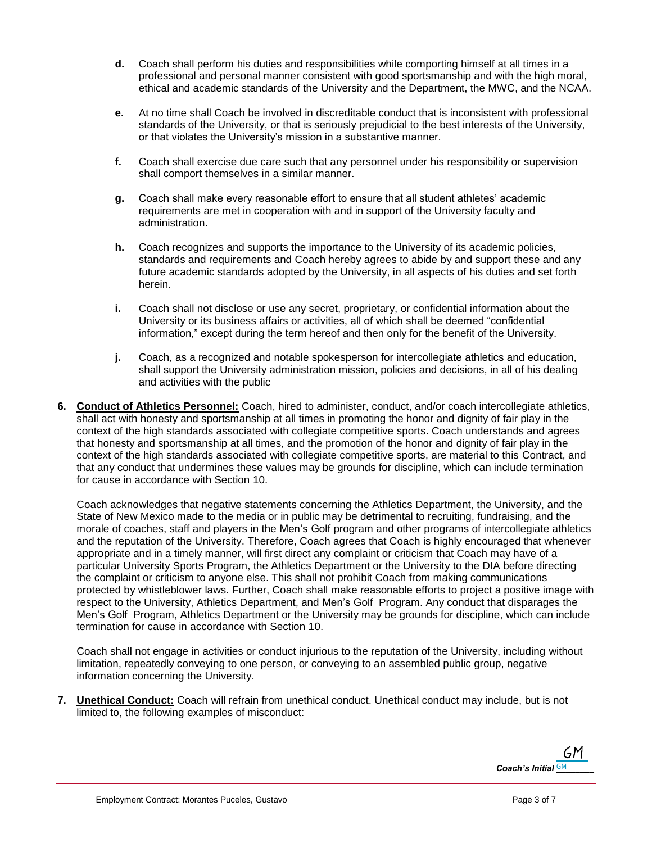- **d.** Coach shall perform his duties and responsibilities while comporting himself at all times in a professional and personal manner consistent with good sportsmanship and with the high moral, ethical and academic standards of the University and the Department, the MWC, and the NCAA.
- **e.** At no time shall Coach be involved in discreditable conduct that is inconsistent with professional standards of the University, or that is seriously prejudicial to the best interests of the University, or that violates the University's mission in a substantive manner.
- **f.** Coach shall exercise due care such that any personnel under his responsibility or supervision shall comport themselves in a similar manner.
- **g.** Coach shall make every reasonable effort to ensure that all student athletes' academic requirements are met in cooperation with and in support of the University faculty and administration.
- **h.** Coach recognizes and supports the importance to the University of its academic policies, standards and requirements and Coach hereby agrees to abide by and support these and any future academic standards adopted by the University, in all aspects of his duties and set forth herein.
- **i.** Coach shall not disclose or use any secret, proprietary, or confidential information about the University or its business affairs or activities, all of which shall be deemed "confidential information," except during the term hereof and then only for the benefit of the University.
- **j.** Coach, as a recognized and notable spokesperson for intercollegiate athletics and education, shall support the University administration mission, policies and decisions, in all of his dealing and activities with the public
- **6. Conduct of Athletics Personnel:** Coach, hired to administer, conduct, and/or coach intercollegiate athletics, shall act with honesty and sportsmanship at all times in promoting the honor and dignity of fair play in the context of the high standards associated with collegiate competitive sports. Coach understands and agrees that honesty and sportsmanship at all times, and the promotion of the honor and dignity of fair play in the context of the high standards associated with collegiate competitive sports, are material to this Contract, and that any conduct that undermines these values may be grounds for discipline, which can include termination for cause in accordance with Section 10.

Coach acknowledges that negative statements concerning the Athletics Department, the University, and the State of New Mexico made to the media or in public may be detrimental to recruiting, fundraising, and the morale of coaches, staff and players in the Men's Golf program and other programs of intercollegiate athletics and the reputation of the University. Therefore, Coach agrees that Coach is highly encouraged that whenever appropriate and in a timely manner, will first direct any complaint or criticism that Coach may have of a particular University Sports Program, the Athletics Department or the University to the DIA before directing the complaint or criticism to anyone else. This shall not prohibit Coach from making communications protected by whistleblower laws. Further, Coach shall make reasonable efforts to project a positive image with respect to the University, Athletics Department, and Men's Golf Program. Any conduct that disparages the Men's Golf Program, Athletics Department or the University may be grounds for discipline, which can include termination for cause in accordance with Section 10.

Coach shall not engage in activities or conduct injurious to the reputation of the University, including without limitation, repeatedly conveying to one person, or conveying to an assembled public group, negative information concerning the University.

**7. Unethical Conduct:** Coach will refrain from unethical conduct. Unethical conduct may include, but is not limited to, the following examples of misconduct:

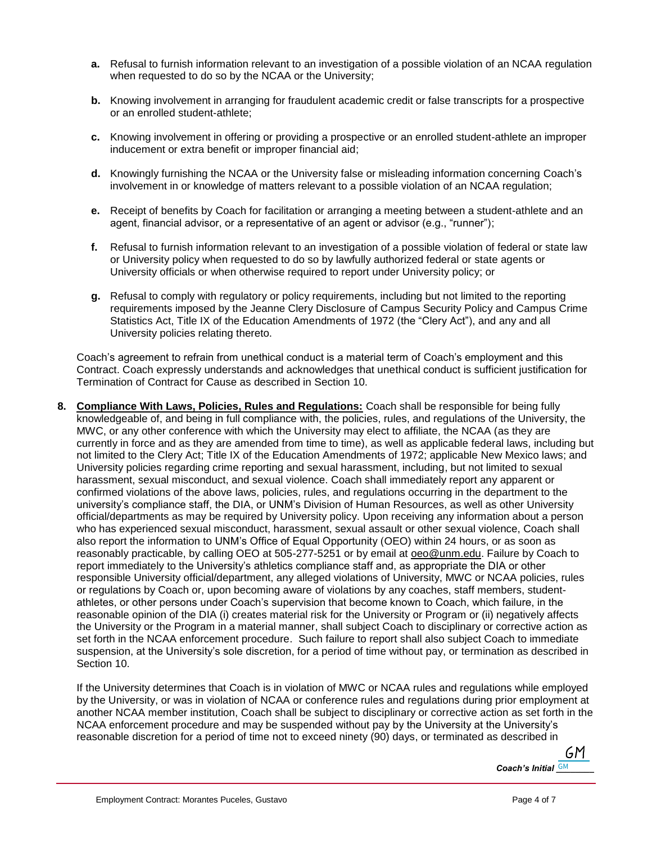- **a.** Refusal to furnish information relevant to an investigation of a possible violation of an NCAA regulation when requested to do so by the NCAA or the University;
- **b.** Knowing involvement in arranging for fraudulent academic credit or false transcripts for a prospective or an enrolled student-athlete;
- **c.** Knowing involvement in offering or providing a prospective or an enrolled student-athlete an improper inducement or extra benefit or improper financial aid;
- **d.** Knowingly furnishing the NCAA or the University false or misleading information concerning Coach's involvement in or knowledge of matters relevant to a possible violation of an NCAA regulation;
- **e.** Receipt of benefits by Coach for facilitation or arranging a meeting between a student-athlete and an agent, financial advisor, or a representative of an agent or advisor (e.g., "runner");
- **f.** Refusal to furnish information relevant to an investigation of a possible violation of federal or state law or University policy when requested to do so by lawfully authorized federal or state agents or University officials or when otherwise required to report under University policy; or
- **g.** Refusal to comply with regulatory or policy requirements, including but not limited to the reporting requirements imposed by the Jeanne Clery Disclosure of Campus Security Policy and Campus Crime Statistics Act, Title IX of the Education Amendments of 1972 (the "Clery Act"), and any and all University policies relating thereto.

Coach's agreement to refrain from unethical conduct is a material term of Coach's employment and this Contract. Coach expressly understands and acknowledges that unethical conduct is sufficient justification for Termination of Contract for Cause as described in Section 10.

**8. Compliance With Laws, Policies, Rules and Regulations:** Coach shall be responsible for being fully knowledgeable of, and being in full compliance with, the policies, rules, and regulations of the University, the MWC, or any other conference with which the University may elect to affiliate, the NCAA (as they are currently in force and as they are amended from time to time), as well as applicable federal laws, including but not limited to the Clery Act; Title IX of the Education Amendments of 1972; applicable New Mexico laws; and University policies regarding crime reporting and sexual harassment, including, but not limited to sexual harassment, sexual misconduct, and sexual violence. Coach shall immediately report any apparent or confirmed violations of the above laws, policies, rules, and regulations occurring in the department to the university's compliance staff, the DIA, or UNM's Division of Human Resources, as well as other University official/departments as may be required by University policy. Upon receiving any information about a person who has experienced sexual misconduct, harassment, sexual assault or other sexual violence, Coach shall also report the information to UNM's Office of Equal Opportunity (OEO) within 24 hours, or as soon as reasonably practicable, by calling OEO at 505-277-5251 or by email at [oeo@unm.edu.](mailto:oeo@unm.edu) Failure by Coach to report immediately to the University's athletics compliance staff and, as appropriate the DIA or other responsible University official/department, any alleged violations of University, MWC or NCAA policies, rules or regulations by Coach or, upon becoming aware of violations by any coaches, staff members, studentathletes, or other persons under Coach's supervision that become known to Coach, which failure, in the reasonable opinion of the DIA (i) creates material risk for the University or Program or (ii) negatively affects the University or the Program in a material manner, shall subject Coach to disciplinary or corrective action as set forth in the NCAA enforcement procedure. Such failure to report shall also subject Coach to immediate suspension, at the University's sole discretion, for a period of time without pay, or termination as described in Section 10.

If the University determines that Coach is in violation of MWC or NCAA rules and regulations while employed by the University, or was in violation of NCAA or conference rules and regulations during prior employment at another NCAA member institution, Coach shall be subject to disciplinary or corrective action as set forth in the NCAA enforcement procedure and may be suspended without pay by the University at the University's reasonable discretion for a period of time not to exceed ninety (90) days, or terminated as described in

GM. *Coach's Initial GM*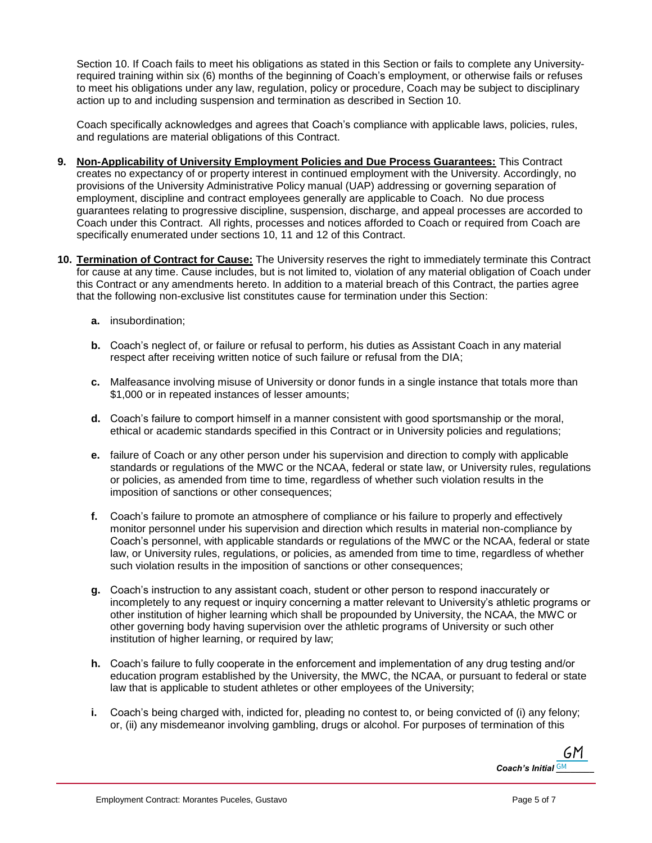Section 10. If Coach fails to meet his obligations as stated in this Section or fails to complete any Universityrequired training within six (6) months of the beginning of Coach's employment, or otherwise fails or refuses to meet his obligations under any law, regulation, policy or procedure, Coach may be subject to disciplinary action up to and including suspension and termination as described in Section 10.

Coach specifically acknowledges and agrees that Coach's compliance with applicable laws, policies, rules, and regulations are material obligations of this Contract.

- **9. Non-Applicability of University Employment Policies and Due Process Guarantees:** This Contract creates no expectancy of or property interest in continued employment with the University. Accordingly, no provisions of the University Administrative Policy manual (UAP) addressing or governing separation of employment, discipline and contract employees generally are applicable to Coach. No due process guarantees relating to progressive discipline, suspension, discharge, and appeal processes are accorded to Coach under this Contract. All rights, processes and notices afforded to Coach or required from Coach are specifically enumerated under sections 10, 11 and 12 of this Contract.
- **10. Termination of Contract for Cause:** The University reserves the right to immediately terminate this Contract for cause at any time. Cause includes, but is not limited to, violation of any material obligation of Coach under this Contract or any amendments hereto. In addition to a material breach of this Contract, the parties agree that the following non-exclusive list constitutes cause for termination under this Section:
	- **a.** insubordination;
	- **b.** Coach's neglect of, or failure or refusal to perform, his duties as Assistant Coach in any material respect after receiving written notice of such failure or refusal from the DIA;
	- **c.** Malfeasance involving misuse of University or donor funds in a single instance that totals more than \$1,000 or in repeated instances of lesser amounts;
	- **d.** Coach's failure to comport himself in a manner consistent with good sportsmanship or the moral, ethical or academic standards specified in this Contract or in University policies and regulations;
	- **e.** failure of Coach or any other person under his supervision and direction to comply with applicable standards or regulations of the MWC or the NCAA, federal or state law, or University rules, regulations or policies, as amended from time to time, regardless of whether such violation results in the imposition of sanctions or other consequences;
	- **f.** Coach's failure to promote an atmosphere of compliance or his failure to properly and effectively monitor personnel under his supervision and direction which results in material non-compliance by Coach's personnel, with applicable standards or regulations of the MWC or the NCAA, federal or state law, or University rules, regulations, or policies, as amended from time to time, regardless of whether such violation results in the imposition of sanctions or other consequences;
	- **g.** Coach's instruction to any assistant coach, student or other person to respond inaccurately or incompletely to any request or inquiry concerning a matter relevant to University's athletic programs or other institution of higher learning which shall be propounded by University, the NCAA, the MWC or other governing body having supervision over the athletic programs of University or such other institution of higher learning, or required by law;
	- **h.** Coach's failure to fully cooperate in the enforcement and implementation of any drug testing and/or education program established by the University, the MWC, the NCAA, or pursuant to federal or state law that is applicable to student athletes or other employees of the University;
	- **i.** Coach's being charged with, indicted for, pleading no contest to, or being convicted of (i) any felony; or, (ii) any misdemeanor involving gambling, drugs or alcohol. For purposes of termination of this

GM. *Coach's Initial [\\_\\_\\_\\_\\_\\_\\_\\_](https://secure.na2.echosign.com/verifier?tx=CBJCHBCAABAA4K9yBWFV_qtD8hqp-ZaIBkQ5zsa3GGT0)* GM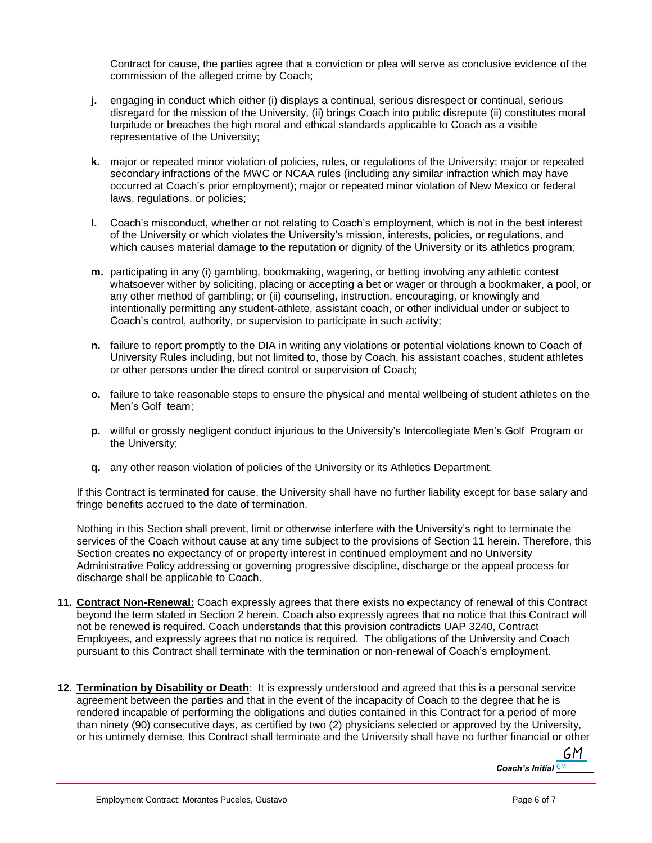Contract for cause, the parties agree that a conviction or plea will serve as conclusive evidence of the commission of the alleged crime by Coach;

- **j.** engaging in conduct which either (i) displays a continual, serious disrespect or continual, serious disregard for the mission of the University, (ii) brings Coach into public disrepute (ii) constitutes moral turpitude or breaches the high moral and ethical standards applicable to Coach as a visible representative of the University;
- **k.** major or repeated minor violation of policies, rules, or regulations of the University; major or repeated secondary infractions of the MWC or NCAA rules (including any similar infraction which may have occurred at Coach's prior employment); major or repeated minor violation of New Mexico or federal laws, regulations, or policies;
- **l.** Coach's misconduct, whether or not relating to Coach's employment, which is not in the best interest of the University or which violates the University's mission, interests, policies, or regulations, and which causes material damage to the reputation or dignity of the University or its athletics program;
- **m.** participating in any (i) gambling, bookmaking, wagering, or betting involving any athletic contest whatsoever wither by soliciting, placing or accepting a bet or wager or through a bookmaker, a pool, or any other method of gambling; or (ii) counseling, instruction, encouraging, or knowingly and intentionally permitting any student-athlete, assistant coach, or other individual under or subject to Coach's control, authority, or supervision to participate in such activity;
- **n.** failure to report promptly to the DIA in writing any violations or potential violations known to Coach of University Rules including, but not limited to, those by Coach, his assistant coaches, student athletes or other persons under the direct control or supervision of Coach;
- **o.** failure to take reasonable steps to ensure the physical and mental wellbeing of student athletes on the Men's Golf team;
- **p.** willful or grossly negligent conduct injurious to the University's Intercollegiate Men's Golf Program or the University;
- **q.** any other reason violation of policies of the University or its Athletics Department.

If this Contract is terminated for cause, the University shall have no further liability except for base salary and fringe benefits accrued to the date of termination.

Nothing in this Section shall prevent, limit or otherwise interfere with the University's right to terminate the services of the Coach without cause at any time subject to the provisions of Section 11 herein. Therefore, this Section creates no expectancy of or property interest in continued employment and no University Administrative Policy addressing or governing progressive discipline, discharge or the appeal process for discharge shall be applicable to Coach.

- **11. Contract Non-Renewal:** Coach expressly agrees that there exists no expectancy of renewal of this Contract beyond the term stated in Section 2 herein. Coach also expressly agrees that no notice that this Contract will not be renewed is required. Coach understands that this provision contradicts UAP 3240, Contract Employees, and expressly agrees that no notice is required. The obligations of the University and Coach pursuant to this Contract shall terminate with the termination or non-renewal of Coach's employment.
- **12. Termination by Disability or Death**: It is expressly understood and agreed that this is a personal service agreement between the parties and that in the event of the incapacity of Coach to the degree that he is rendered incapable of performing the obligations and duties contained in this Contract for a period of more than ninety (90) consecutive days, as certified by two (2) physicians selected or approved by the University, or his untimely demise, this Contract shall terminate and the University shall have no further financial or other

GM. *Coach's Initial*  $\frac{GM}{c}$